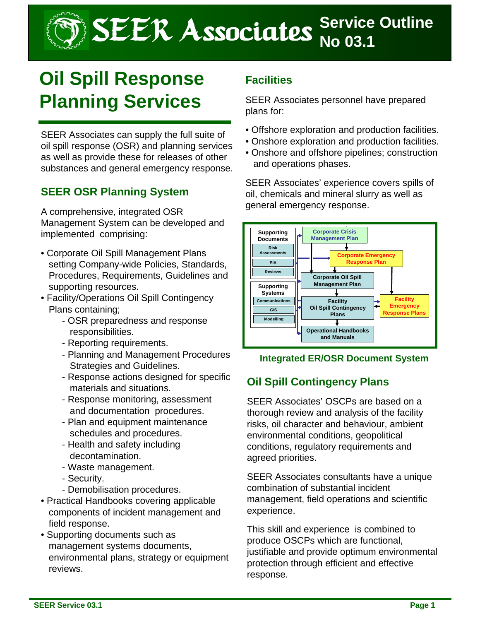SEER Associates **Service Outline** 

# **Oil Spill Response Planning Services**

SEER Associates can supply the full suite of oil spill response (OSR) and planning services as well as provide these for releases of other substances and general emergency response.

## **SEER OSR Planning System**

A comprehensive, integrated OSR Management System can be developed and implemented comprising:

- Corporate Oil Spill Management Plans setting Company-wide Policies, Standards, Procedures, Requirements, Guidelines and supporting resources.
- Facility/Operations Oil Spill Contingency Plans containing;
	- OSR preparedness and response responsibilities.
	- Reporting requirements.
	- Planning and Management Procedures Strategies and Guidelines.
	- Response actions designed for specific materials and situations.
	- Response monitoring, assessment and documentation procedures.
	- Plan and equipment maintenance schedules and procedures.
	- Health and safety including decontamination.
	- Waste management.
	- Security.
	- Demobilisation procedures.
- Practical Handbooks covering applicable components of incident management and field response.
- Supporting documents such as management systems documents, environmental plans, strategy or equipment reviews.

## **Facilities**

SEER Associates personnel have prepared plans for:

- Offshore exploration and production facilities.
- Onshore exploration and production facilities.
- Onshore and offshore pipelines; construction and operations phases.

SEER Associates' experience covers spills of oil, chemicals and mineral slurry as well as general emergency response.



## **Integrated ER/OSR Document System**

## **Oil Spill Contingency Plans**

SEER Associates' OSCPs are based on a thorough review and analysis of the facility risks, oil character and behaviour, ambient environmental conditions, geopolitical conditions, regulatory requirements and agreed priorities.

SEER Associates consultants have a unique combination of substantial incident management, field operations and scientific experience.

This skill and experience is combined to produce OSCPs which are functional, justifiable and provide optimum environmental protection through efficient and effective response.